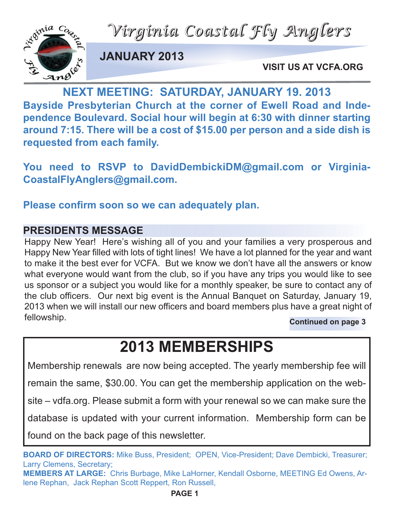*Virginia Coastal Fly Anglers*



**JANUARY 2013**

**VISIT US AT VCFA.ORG**

VISIT US AT VCF<br>
NEXT MEETING: SATURDAY, JANUARY 19. 2013 **Bayside Presbyterian Church at the corner of Ewell Road and Independence Boulevard. Social hour will begin at 6:30 with dinner starting around 7:15. There will be a cost of \$15.00 per person and a side dish is requested from each family.**

**You need to RSVP to DavidDembickiDM@gmail.com or Virginia-CoastalFlyAnglers@gmail.com.**

**Please confirm soon so we can adequately plan.** 

# **PRESIDENTS MESSAGE**

Happy New Year! Here's wishing all of you and your families a very prosperous and Happy New Year filled with lots of tight lines! We have a lot planned for the year and want to make it the best ever for VCFA. But we know we don't have all the answers or know what everyone would want from the club, so if you have any trips you would like to see us sponsor or a subject you would like for a monthly speaker, be sure to contact any of the club officers. Our next big event is the Annual Banquet on Saturday, January 19, 2013 when we will install our new officers and board members plus have a great night of fellowship. **Continued on page 3**

**2013 MEMBERSHIPS**

Membership renewals are now being accepted. The yearly membership fee will

remain the same, \$30.00. You can get the membership application on the web-

site – vdfa.org. Please submit a form with your renewal so we can make sure the

database is updated with your current information. Membership form can be

found on the back page of this newsletter.

**BOARD OF DIRECTORS:** Mike Buss, President; OPEN, Vice-President; Dave Dembicki, Treasurer; Larry Clemens, Secretary;

**MEMBERS AT LARGE:** Chris Burbage, Mike LaHorner, Kendall Osborne, MEETING Ed Owens, Arlene Rephan, Jack Rephan Scott Reppert, Ron Russell,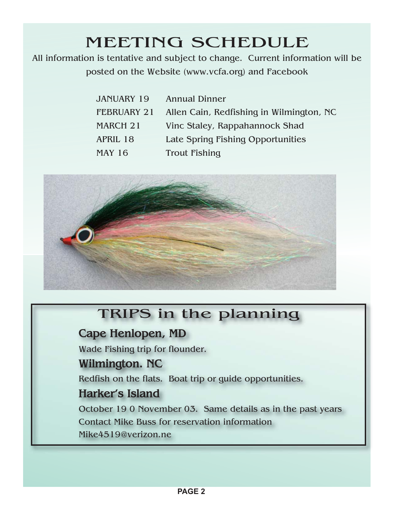All information is tentative and subject to change. Current information will be posted on the Website (www.vcfa.org) and Facebook

| <b>JANUARY 19</b> | <b>Annual Dinner</b>                     |
|-------------------|------------------------------------------|
| FEBRUARY 21       | Allen Cain, Redfishing in Wilmington, NC |
| MARCH 21          | Vinc Staley, Rappahannock Shad           |
| <b>APRIL 18</b>   | Late Spring Fishing Opportunities        |
| <b>MAY 16</b>     | <b>Trout Fishing</b>                     |



# TRIPS in the planning

## **Cape Henlopen, MD**

Wade Fishing trip for flounder.

## **Wilmington. NC**

Redfish on the flats. Boat trip or guide opportunities.

## **Harker's Island**

October 19 0 November 03. Same details as in the past years Contact Mike Buss for reservation information

Mike4519@verizon.ne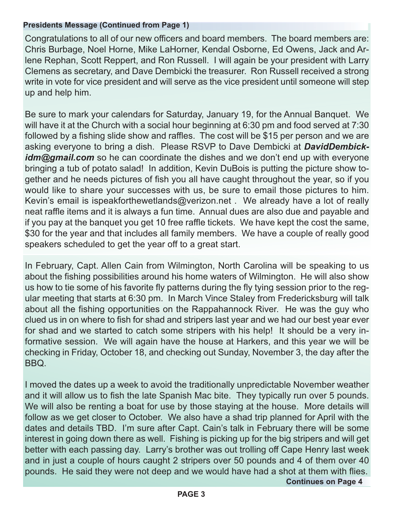#### **Presidents Message (Continued from Page 1)**

Congratulations to all of our new officers and board members. The board members are: Chris Burbage, Noel Horne, Mike LaHorner, Kendal Osborne, Ed Owens, Jack and Arlene Rephan, Scott Reppert, and Ron Russell. I will again be your president with Larry Clemens as secretary, and Dave Dembicki the treasurer. Ron Russell received a strong write in vote for vice president and will serve as the vice president until someone will step up and help him.

Be sure to mark your calendars for Saturday, January 19, for the Annual Banquet. We will have it at the Church with a social hour beginning at 6:30 pm and food served at 7:30 followed by a fishing slide show and raffles. The cost will be \$15 per person and we are asking everyone to bring a dish. Please RSVP to Dave Dembicki at *DavidDembick*idm@gmail.com so he can coordinate the dishes and we don't end up with everyone bringing a tub of potato salad! In addition, Kevin DuBois is putting the picture show together and he needs pictures of fish you all have caught throughout the year, so if you would like to share your successes with us, be sure to email those pictures to him. Kevin's email is ispeakforthewetlands@verizon.net . We already have a lot of really neat raffle items and it is always a fun time. Annual dues are also due and payable and if you pay at the banquet you get 10 free raffle tickets. We have kept the cost the same, \$30 for the year and that includes all family members. We have a couple of really good speakers scheduled to get the year off to a great start.

In February, Capt. Allen Cain from Wilmington, North Carolina will be speaking to us about the fishing possibilities around his home waters of Wilmington. He will also show us how to tie some of his favorite fly patterns during the fly tying session prior to the regular meeting that starts at 6:30 pm. In March Vince Staley from Fredericksburg will talk about all the fishing opportunities on the Rappahannock River. He was the guy who clued us in on where to fish for shad and stripers last year and we had our best year ever for shad and we started to catch some stripers with his help! It should be a very informative session. We will again have the house at Harkers, and this year we will be checking in Friday, October 18, and checking out Sunday, November 3, the day after the BBQ.

I moved the dates up a week to avoid the traditionally unpredictable November weather and it will allow us to fish the late Spanish Mac bite. They typically run over 5 pounds. We will also be renting a boat for use by those staying at the house. More details will follow as we get closer to October. We also have a shad trip planned for April with the dates and details TBD. I'm sure after Capt. Cain's talk in February there will be some interest in going down there as well. Fishing is picking up for the big stripers and will get better with each passing day. Larry's brother was out trolling off Cape Henry last week and in just a couple of hours caught 2 stripers over 50 pounds and 4 of them over 40 pounds. He said they were not deep and we would have had a shot at them with flies.